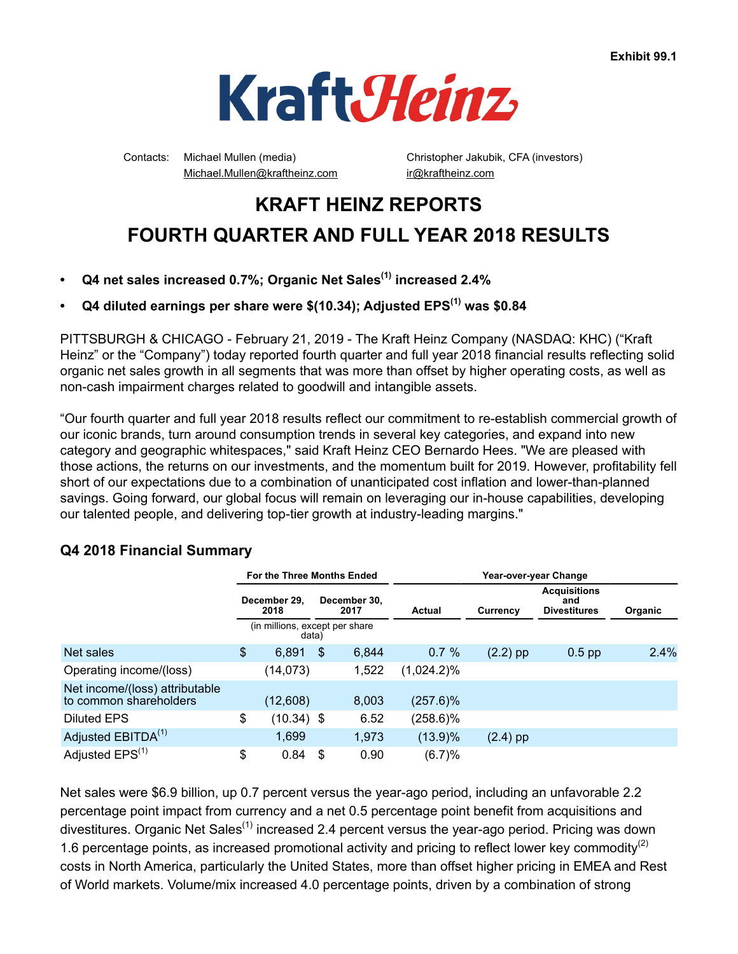

Contacts: Michael Mullen (media) Christopher Jakubik, CFA (investors) Michael.Mullen@kraftheinz.com ir@kraftheinz.com

# **KRAFT HEINZ REPORTS FOURTH QUARTER AND FULL YEAR 2018 RESULTS**

- **Q4 net sales increased 0.7%; Organic Net Sales(1) increased 2.4%**
- **Q4 diluted earnings per share were \$(10.34); Adjusted EPS(1) was \$0.84**

PITTSBURGH & CHICAGO - February 21, 2019 - The Kraft Heinz Company (NASDAQ: KHC) ("Kraft Heinz" or the "Company") today reported fourth quarter and full year 2018 financial results reflecting solid organic net sales growth in all segments that was more than offset by higher operating costs, as well as non-cash impairment charges related to goodwill and intangible assets.

"Our fourth quarter and full year 2018 results reflect our commitment to re-establish commercial growth of our iconic brands, turn around consumption trends in several key categories, and expand into new category and geographic whitespaces," said Kraft Heinz CEO Bernardo Hees. "We are pleased with those actions, the returns on our investments, and the momentum built for 2019. However, profitability fell short of our expectations due to a combination of unanticipated cost inflation and lower-than-planned savings. Going forward, our global focus will remain on leveraging our in-house capabilities, developing our talented people, and delivering top-tier growth at industry-leading margins."

# **Q4 2018 Financial Summary**

|                                                          |                                              | For the Three Months Ended              |    |       |               |            | Year-over-year Change                             |         |
|----------------------------------------------------------|----------------------------------------------|-----------------------------------------|----|-------|---------------|------------|---------------------------------------------------|---------|
|                                                          | December 29.<br>December 30.<br>2018<br>2017 |                                         |    |       | Actual        | Currency   | <b>Acquisitions</b><br>and<br><b>Divestitures</b> | Organic |
|                                                          |                                              | (in millions, except per share<br>data) |    |       |               |            |                                                   |         |
| Net sales                                                | \$                                           | 6,891                                   | \$ | 6,844 | 0.7%          | $(2.2)$ pp | $0.5$ pp                                          | 2.4%    |
| Operating income/(loss)                                  |                                              | (14, 073)                               |    | 1,522 | $(1,024.2)\%$ |            |                                                   |         |
| Net income/(loss) attributable<br>to common shareholders |                                              | (12,608)                                |    | 8,003 | (257.6)%      |            |                                                   |         |
| Diluted EPS                                              | \$                                           | $(10.34)$ \$                            |    | 6.52  | $(258.6)\%$   |            |                                                   |         |
| Adjusted EBITDA <sup>(1)</sup>                           |                                              | 1,699                                   |    | 1,973 | $(13.9)\%$    | $(2.4)$ pp |                                                   |         |
| Adjusted EPS <sup>(1)</sup>                              | \$                                           | 0.84                                    | \$ | 0.90  | (6.7)%        |            |                                                   |         |

Net sales were \$6.9 billion, up 0.7 percent versus the year-ago period, including an unfavorable 2.2 percentage point impact from currency and a net 0.5 percentage point benefit from acquisitions and divestitures. Organic Net Sales<sup>(1)</sup> increased 2.4 percent versus the year-ago period. Pricing was down 1.6 percentage points, as increased promotional activity and pricing to reflect lower key commodity<sup>(2)</sup> costs in North America, particularly the United States, more than offset higher pricing in EMEA and Rest of World markets. Volume/mix increased 4.0 percentage points, driven by a combination of strong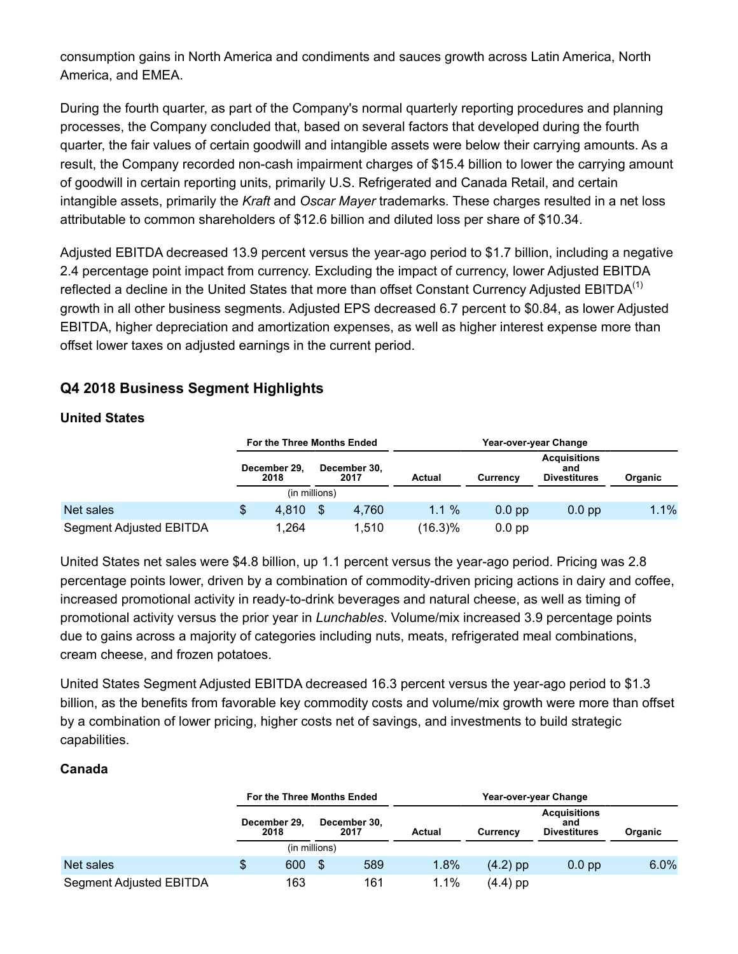consumption gains in North America and condiments and sauces growth across Latin America, North America, and EMEA.

During the fourth quarter, as part of the Company's normal quarterly reporting procedures and planning processes, the Company concluded that, based on several factors that developed during the fourth quarter, the fair values of certain goodwill and intangible assets were below their carrying amounts. As a result, the Company recorded non-cash impairment charges of \$15.4 billion to lower the carrying amount of goodwill in certain reporting units, primarily U.S. Refrigerated and Canada Retail, and certain intangible assets, primarily the *Kraft* and *Oscar Mayer* trademarks*.* These charges resulted in a net loss attributable to common shareholders of \$12.6 billion and diluted loss per share of \$10.34.

Adjusted EBITDA decreased 13.9 percent versus the year-ago period to \$1.7 billion, including a negative 2.4 percentage point impact from currency. Excluding the impact of currency, lower Adjusted EBITDA reflected a decline in the United States that more than offset Constant Currency Adjusted EBITDA<sup>(1)</sup> growth in all other business segments. Adjusted EPS decreased 6.7 percent to \$0.84, as lower Adjusted EBITDA, higher depreciation and amortization expenses, as well as higher interest expense more than offset lower taxes on adjusted earnings in the current period.

# **Q4 2018 Business Segment Highlights**

### **United States**

|                         | For the Three Months Ended |               |                      | Year-over-year Change |                   |                                                   |         |  |  |
|-------------------------|----------------------------|---------------|----------------------|-----------------------|-------------------|---------------------------------------------------|---------|--|--|
|                         | December 29,<br>2018       |               | December 30,<br>2017 | Actual                | Currency          | <b>Acquisitions</b><br>and<br><b>Divestitures</b> | Organic |  |  |
|                         |                            | (in millions) |                      |                       |                   |                                                   |         |  |  |
| Net sales               | \$<br>4.810                |               | 4.760                | 1.1%                  | 0.0 <sub>pp</sub> | $0.0$ pp                                          | 1.1%    |  |  |
| Segment Adjusted EBITDA | 1.264                      |               | 1.510                | (16.3)%               | $0.0$ pp          |                                                   |         |  |  |

United States net sales were \$4.8 billion, up 1.1 percent versus the year-ago period. Pricing was 2.8 percentage points lower, driven by a combination of commodity-driven pricing actions in dairy and coffee, increased promotional activity in ready-to-drink beverages and natural cheese, as well as timing of promotional activity versus the prior year in *Lunchables*. Volume/mix increased 3.9 percentage points due to gains across a majority of categories including nuts, meats, refrigerated meal combinations, cream cheese, and frozen potatoes.

United States Segment Adjusted EBITDA decreased 16.3 percent versus the year-ago period to \$1.3 billion, as the benefits from favorable key commodity costs and volume/mix growth were more than offset by a combination of lower pricing, higher costs net of savings, and investments to build strategic capabilities.

### **Canada**

|                         | For the Three Months Ended |               |                      | Year-over-year Change |                 |                                                   |         |  |  |  |
|-------------------------|----------------------------|---------------|----------------------|-----------------------|-----------------|---------------------------------------------------|---------|--|--|--|
|                         | December 29.<br>2018       |               | December 30,<br>2017 | Actual                | <b>Currency</b> | <b>Acquisitions</b><br>and<br><b>Divestitures</b> | Organic |  |  |  |
|                         |                            | (in millions) |                      |                       |                 |                                                   |         |  |  |  |
| Net sales               | \$<br>600                  | S             | 589                  | 1.8%                  | $(4.2)$ pp      | $0.0$ pp                                          | 6.0%    |  |  |  |
| Segment Adjusted EBITDA | 163                        |               | 161                  | $1.1\%$               | $(4.4)$ pp      |                                                   |         |  |  |  |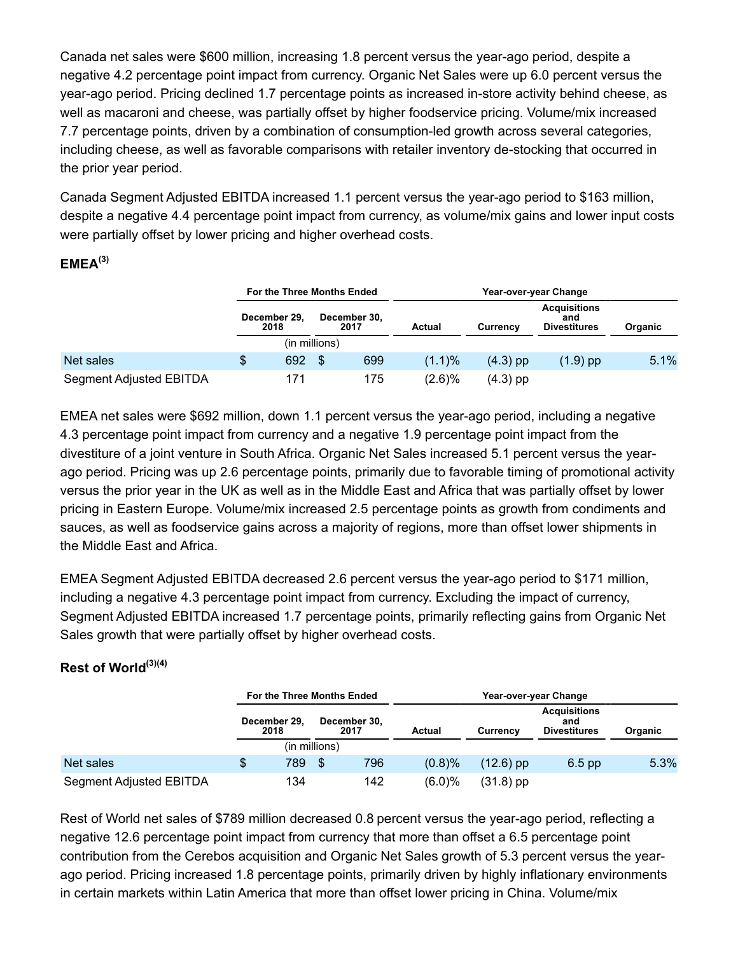Canada net sales were \$600 million, increasing 1.8 percent versus the year-ago period, despite a negative 4.2 percentage point impact from currency. Organic Net Sales were up 6.0 percent versus the year-ago period. Pricing declined 1.7 percentage points as increased in-store activity behind cheese, as well as macaroni and cheese, was partially offset by higher foodservice pricing. Volume/mix increased 7.7 percentage points, driven by a combination of consumption-led growth across several categories, including cheese, as well as favorable comparisons with retailer inventory de-stocking that occurred in the prior year period.

Canada Segment Adjusted EBITDA increased 1.1 percent versus the year-ago period to \$163 million, despite a negative 4.4 percentage point impact from currency, as volume/mix gains and lower input costs were partially offset by lower pricing and higher overhead costs.

### **EMEA(3)**

|                         |   | For the Three Months Ended |               |                      | Year-over-year Change |            |                                                   |         |  |  |  |
|-------------------------|---|----------------------------|---------------|----------------------|-----------------------|------------|---------------------------------------------------|---------|--|--|--|
|                         |   | December 29,<br>2018       |               | December 30,<br>2017 | Actual                | Currency   | <b>Acquisitions</b><br>and<br><b>Divestitures</b> | Organic |  |  |  |
|                         |   |                            | (in millions) |                      |                       |            |                                                   |         |  |  |  |
| Net sales               | S | 692                        | \$            | 699                  | $(1.1)\%$             | $(4.3)$ pp | $(1.9)$ pp                                        | 5.1%    |  |  |  |
| Segment Adjusted EBITDA |   | 171                        |               | 175                  | $(2.6)\%$             | $(4.3)$ pp |                                                   |         |  |  |  |

EMEA net sales were \$692 million, down 1.1 percent versus the year-ago period, including a negative 4.3 percentage point impact from currency and a negative 1.9 percentage point impact from the divestiture of a joint venture in South Africa. Organic Net Sales increased 5.1 percent versus the yearago period. Pricing was up 2.6 percentage points, primarily due to favorable timing of promotional activity versus the prior year in the UK as well as in the Middle East and Africa that was partially offset by lower pricing in Eastern Europe. Volume/mix increased 2.5 percentage points as growth from condiments and sauces, as well as foodservice gains across a majority of regions, more than offset lower shipments in the Middle East and Africa.

EMEA Segment Adjusted EBITDA decreased 2.6 percent versus the year-ago period to \$171 million, including a negative 4.3 percentage point impact from currency. Excluding the impact of currency, Segment Adjusted EBITDA increased 1.7 percentage points, primarily reflecting gains from Organic Net Sales growth that were partially offset by higher overhead costs.

### **Rest of World(3)(4)**

|                         | For the Three Months Ended |               |                      |        |             | Year-over-year Change                             |         |  |  |
|-------------------------|----------------------------|---------------|----------------------|--------|-------------|---------------------------------------------------|---------|--|--|
|                         | December 29,<br>2018       |               | December 30,<br>2017 | Actual | Currency    | <b>Acquisitions</b><br>and<br><b>Divestitures</b> | Organic |  |  |
|                         |                            | (in millions) |                      |        |             |                                                   |         |  |  |
| Net sales               | \$<br>789                  | \$            | 796                  | (0.8)% | $(12.6)$ pp | $6.5$ pp                                          | 5.3%    |  |  |
| Segment Adjusted EBITDA | 134                        |               | 142                  | (6.0)% | $(31.8)$ pp |                                                   |         |  |  |

Rest of World net sales of \$789 million decreased 0.8 percent versus the year-ago period, reflecting a negative 12.6 percentage point impact from currency that more than offset a 6.5 percentage point contribution from the Cerebos acquisition and Organic Net Sales growth of 5.3 percent versus the yearago period. Pricing increased 1.8 percentage points, primarily driven by highly inflationary environments in certain markets within Latin America that more than offset lower pricing in China. Volume/mix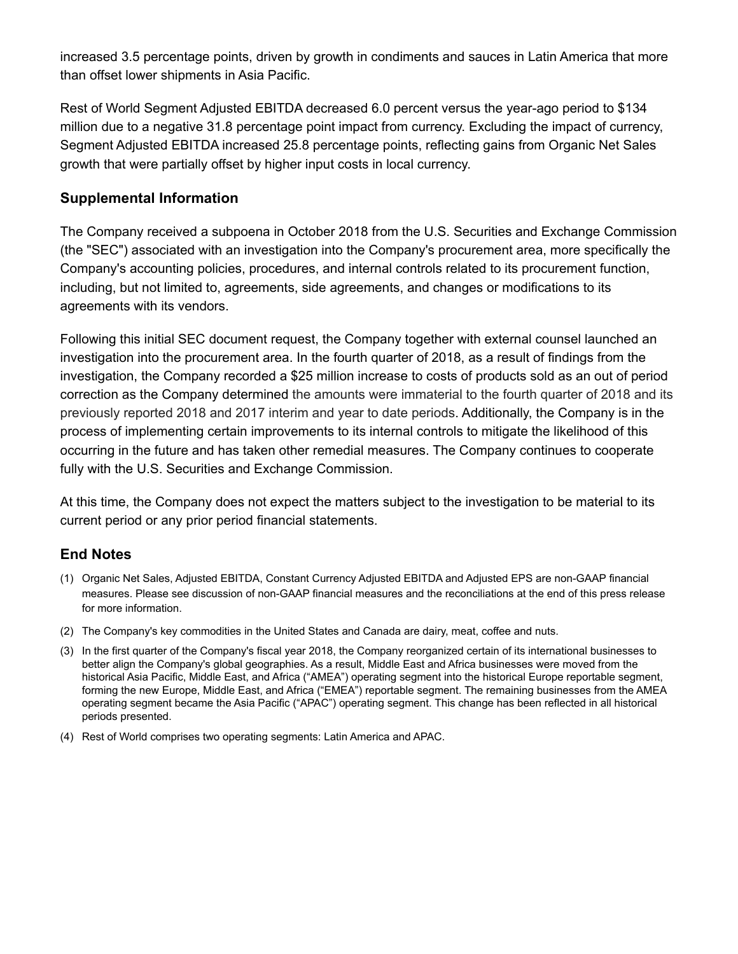increased 3.5 percentage points, driven by growth in condiments and sauces in Latin America that more than offset lower shipments in Asia Pacific.

Rest of World Segment Adjusted EBITDA decreased 6.0 percent versus the year-ago period to \$134 million due to a negative 31.8 percentage point impact from currency. Excluding the impact of currency, Segment Adjusted EBITDA increased 25.8 percentage points, reflecting gains from Organic Net Sales growth that were partially offset by higher input costs in local currency.

# **Supplemental Information**

The Company received a subpoena in October 2018 from the U.S. Securities and Exchange Commission (the "SEC") associated with an investigation into the Company's procurement area, more specifically the Company's accounting policies, procedures, and internal controls related to its procurement function, including, but not limited to, agreements, side agreements, and changes or modifications to its agreements with its vendors.

Following this initial SEC document request, the Company together with external counsel launched an investigation into the procurement area. In the fourth quarter of 2018, as a result of findings from the investigation, the Company recorded a \$25 million increase to costs of products sold as an out of period correction as the Company determined the amounts were immaterial to the fourth quarter of 2018 and its previously reported 2018 and 2017 interim and year to date periods. Additionally, the Company is in the process of implementing certain improvements to its internal controls to mitigate the likelihood of this occurring in the future and has taken other remedial measures. The Company continues to cooperate fully with the U.S. Securities and Exchange Commission.

At this time, the Company does not expect the matters subject to the investigation to be material to its current period or any prior period financial statements.

# **End Notes**

- (1) Organic Net Sales, Adjusted EBITDA, Constant Currency Adjusted EBITDA and Adjusted EPS are non-GAAP financial measures. Please see discussion of non-GAAP financial measures and the reconciliations at the end of this press release for more information.
- (2) The Company's key commodities in the United States and Canada are dairy, meat, coffee and nuts.
- (3) In the first quarter of the Company's fiscal year 2018, the Company reorganized certain of its international businesses to better align the Company's global geographies. As a result, Middle East and Africa businesses were moved from the historical Asia Pacific, Middle East, and Africa ("AMEA") operating segment into the historical Europe reportable segment, forming the new Europe, Middle East, and Africa ("EMEA") reportable segment. The remaining businesses from the AMEA operating segment became the Asia Pacific ("APAC") operating segment. This change has been reflected in all historical periods presented.
- (4) Rest of World comprises two operating segments: Latin America and APAC.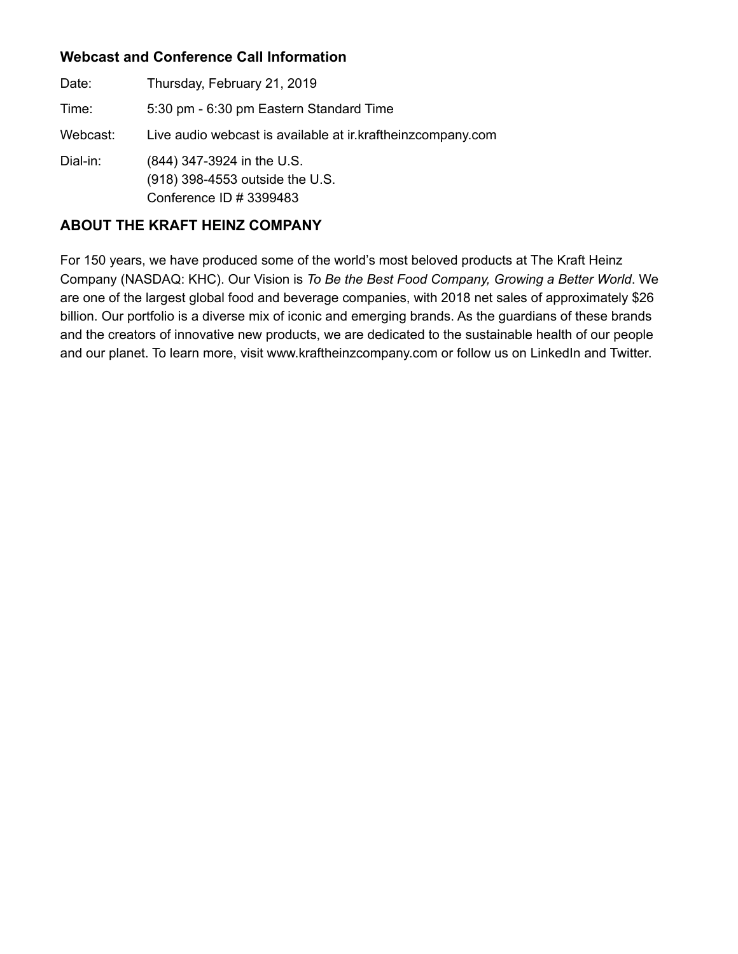# **Webcast and Conference Call Information**

Date: Thursday, February 21, 2019 Time: 5:30 pm - 6:30 pm Eastern Standard Time Webcast: Live audio webcast is available at ir.kraftheinzcompany.com Dial-in: (844) 347-3924 in the U.S. (918) 398-4553 outside the U.S. Conference ID # 3399483

# **ABOUT THE KRAFT HEINZ COMPANY**

For 150 years, we have produced some of the world's most beloved products at The Kraft Heinz Company (NASDAQ: KHC). Our Vision is *To Be the Best Food Company, Growing a Better World*. We are one of the largest global food and beverage companies, with 2018 net sales of approximately \$26 billion. Our portfolio is a diverse mix of iconic and emerging brands. As the guardians of these brands and the creators of innovative new products, we are dedicated to the sustainable health of our people and our planet. To learn more, visit www.kraftheinzcompany.com or follow us on LinkedIn and Twitter.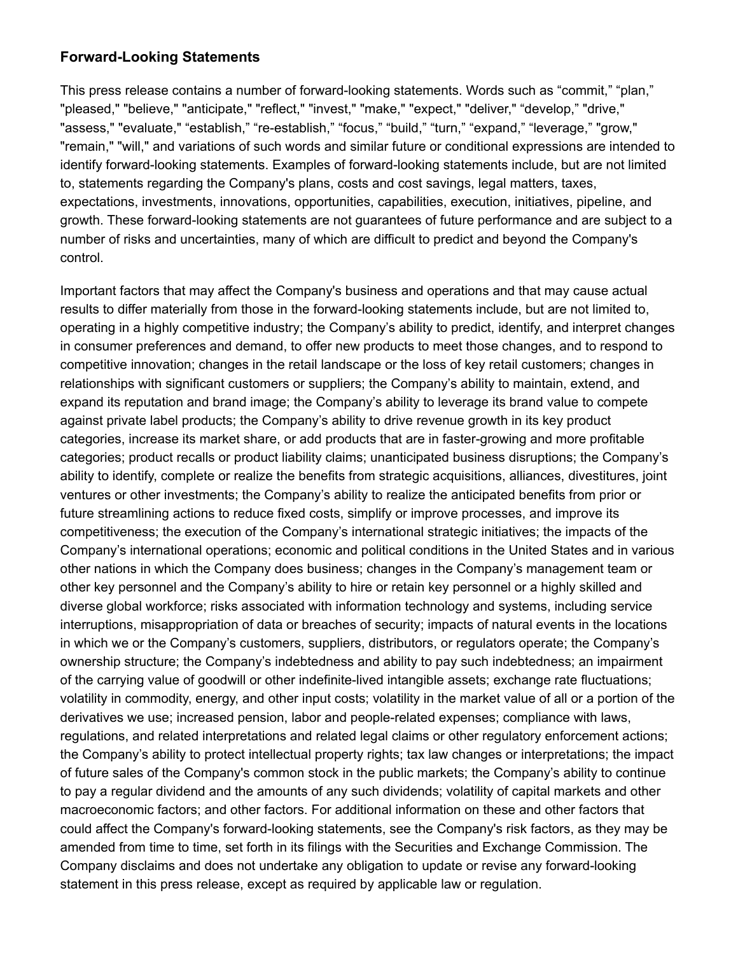### **Forward-Looking Statements**

This press release contains a number of forward-looking statements. Words such as "commit," "plan," "pleased," "believe," "anticipate," "reflect," "invest," "make," "expect," "deliver," "develop," "drive," "assess," "evaluate," "establish," "re-establish," "focus," "build," "turn," "expand," "leverage," "grow," "remain," "will," and variations of such words and similar future or conditional expressions are intended to identify forward-looking statements. Examples of forward-looking statements include, but are not limited to, statements regarding the Company's plans, costs and cost savings, legal matters, taxes, expectations, investments, innovations, opportunities, capabilities, execution, initiatives, pipeline, and growth. These forward-looking statements are not guarantees of future performance and are subject to a number of risks and uncertainties, many of which are difficult to predict and beyond the Company's control.

Important factors that may affect the Company's business and operations and that may cause actual results to differ materially from those in the forward-looking statements include, but are not limited to, operating in a highly competitive industry; the Company's ability to predict, identify, and interpret changes in consumer preferences and demand, to offer new products to meet those changes, and to respond to competitive innovation; changes in the retail landscape or the loss of key retail customers; changes in relationships with significant customers or suppliers; the Company's ability to maintain, extend, and expand its reputation and brand image; the Company's ability to leverage its brand value to compete against private label products; the Company's ability to drive revenue growth in its key product categories, increase its market share, or add products that are in faster-growing and more profitable categories; product recalls or product liability claims; unanticipated business disruptions; the Company's ability to identify, complete or realize the benefits from strategic acquisitions, alliances, divestitures, joint ventures or other investments; the Company's ability to realize the anticipated benefits from prior or future streamlining actions to reduce fixed costs, simplify or improve processes, and improve its competitiveness; the execution of the Company's international strategic initiatives; the impacts of the Company's international operations; economic and political conditions in the United States and in various other nations in which the Company does business; changes in the Company's management team or other key personnel and the Company's ability to hire or retain key personnel or a highly skilled and diverse global workforce; risks associated with information technology and systems, including service interruptions, misappropriation of data or breaches of security; impacts of natural events in the locations in which we or the Company's customers, suppliers, distributors, or regulators operate; the Company's ownership structure; the Company's indebtedness and ability to pay such indebtedness; an impairment of the carrying value of goodwill or other indefinite-lived intangible assets; exchange rate fluctuations; volatility in commodity, energy, and other input costs; volatility in the market value of all or a portion of the derivatives we use; increased pension, labor and people-related expenses; compliance with laws, regulations, and related interpretations and related legal claims or other regulatory enforcement actions; the Company's ability to protect intellectual property rights; tax law changes or interpretations; the impact of future sales of the Company's common stock in the public markets; the Company's ability to continue to pay a regular dividend and the amounts of any such dividends; volatility of capital markets and other macroeconomic factors; and other factors. For additional information on these and other factors that could affect the Company's forward-looking statements, see the Company's risk factors, as they may be amended from time to time, set forth in its filings with the Securities and Exchange Commission. The Company disclaims and does not undertake any obligation to update or revise any forward-looking statement in this press release, except as required by applicable law or regulation.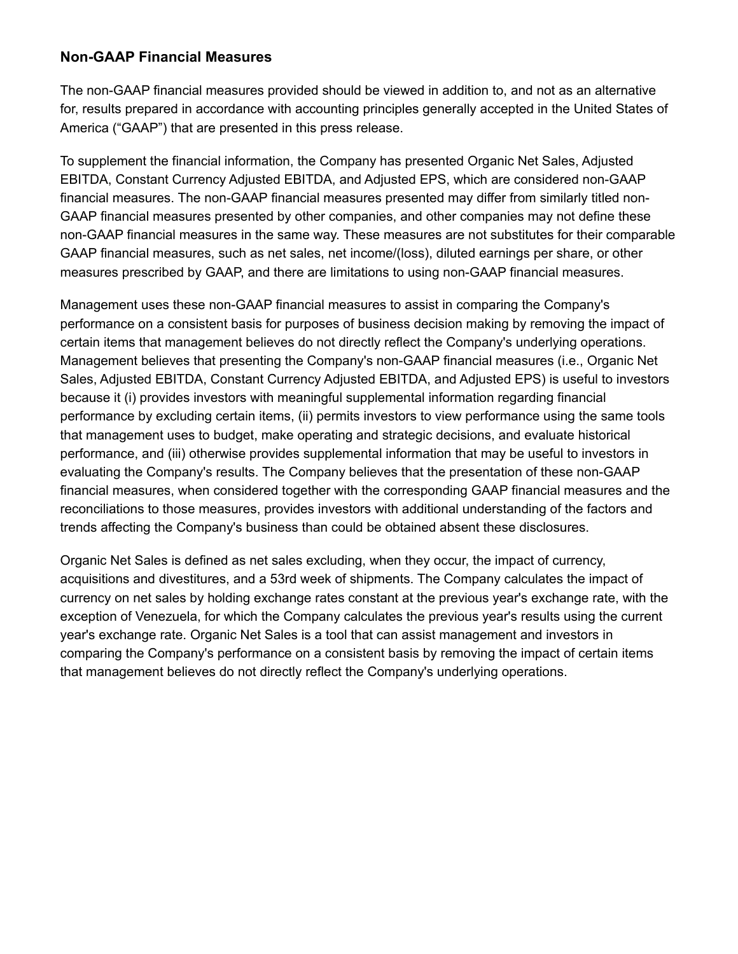### **Non-GAAP Financial Measures**

The non-GAAP financial measures provided should be viewed in addition to, and not as an alternative for, results prepared in accordance with accounting principles generally accepted in the United States of America ("GAAP") that are presented in this press release.

To supplement the financial information, the Company has presented Organic Net Sales, Adjusted EBITDA, Constant Currency Adjusted EBITDA, and Adjusted EPS, which are considered non-GAAP financial measures. The non-GAAP financial measures presented may differ from similarly titled non-GAAP financial measures presented by other companies, and other companies may not define these non-GAAP financial measures in the same way. These measures are not substitutes for their comparable GAAP financial measures, such as net sales, net income/(loss), diluted earnings per share, or other measures prescribed by GAAP, and there are limitations to using non-GAAP financial measures.

Management uses these non-GAAP financial measures to assist in comparing the Company's performance on a consistent basis for purposes of business decision making by removing the impact of certain items that management believes do not directly reflect the Company's underlying operations. Management believes that presenting the Company's non-GAAP financial measures (i.e., Organic Net Sales, Adjusted EBITDA, Constant Currency Adjusted EBITDA, and Adjusted EPS) is useful to investors because it (i) provides investors with meaningful supplemental information regarding financial performance by excluding certain items, (ii) permits investors to view performance using the same tools that management uses to budget, make operating and strategic decisions, and evaluate historical performance, and (iii) otherwise provides supplemental information that may be useful to investors in evaluating the Company's results. The Company believes that the presentation of these non-GAAP financial measures, when considered together with the corresponding GAAP financial measures and the reconciliations to those measures, provides investors with additional understanding of the factors and trends affecting the Company's business than could be obtained absent these disclosures.

Organic Net Sales is defined as net sales excluding, when they occur, the impact of currency, acquisitions and divestitures, and a 53rd week of shipments. The Company calculates the impact of currency on net sales by holding exchange rates constant at the previous year's exchange rate, with the exception of Venezuela, for which the Company calculates the previous year's results using the current year's exchange rate. Organic Net Sales is a tool that can assist management and investors in comparing the Company's performance on a consistent basis by removing the impact of certain items that management believes do not directly reflect the Company's underlying operations.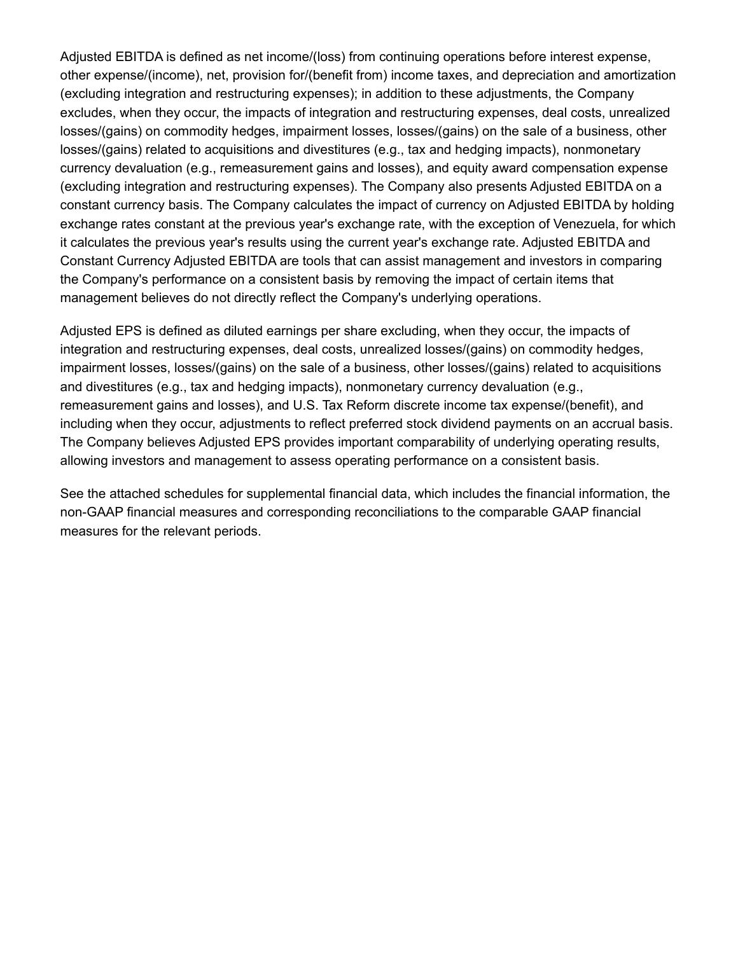Adjusted EBITDA is defined as net income/(loss) from continuing operations before interest expense, other expense/(income), net, provision for/(benefit from) income taxes, and depreciation and amortization (excluding integration and restructuring expenses); in addition to these adjustments, the Company excludes, when they occur, the impacts of integration and restructuring expenses, deal costs, unrealized losses/(gains) on commodity hedges, impairment losses, losses/(gains) on the sale of a business, other losses/(gains) related to acquisitions and divestitures (e.g., tax and hedging impacts), nonmonetary currency devaluation (e.g., remeasurement gains and losses), and equity award compensation expense (excluding integration and restructuring expenses). The Company also presents Adjusted EBITDA on a constant currency basis. The Company calculates the impact of currency on Adjusted EBITDA by holding exchange rates constant at the previous year's exchange rate, with the exception of Venezuela, for which it calculates the previous year's results using the current year's exchange rate. Adjusted EBITDA and Constant Currency Adjusted EBITDA are tools that can assist management and investors in comparing the Company's performance on a consistent basis by removing the impact of certain items that management believes do not directly reflect the Company's underlying operations.

Adjusted EPS is defined as diluted earnings per share excluding, when they occur, the impacts of integration and restructuring expenses, deal costs, unrealized losses/(gains) on commodity hedges, impairment losses, losses/(gains) on the sale of a business, other losses/(gains) related to acquisitions and divestitures (e.g., tax and hedging impacts), nonmonetary currency devaluation (e.g., remeasurement gains and losses), and U.S. Tax Reform discrete income tax expense/(benefit), and including when they occur, adjustments to reflect preferred stock dividend payments on an accrual basis. The Company believes Adjusted EPS provides important comparability of underlying operating results, allowing investors and management to assess operating performance on a consistent basis.

See the attached schedules for supplemental financial data, which includes the financial information, the non-GAAP financial measures and corresponding reconciliations to the comparable GAAP financial measures for the relevant periods.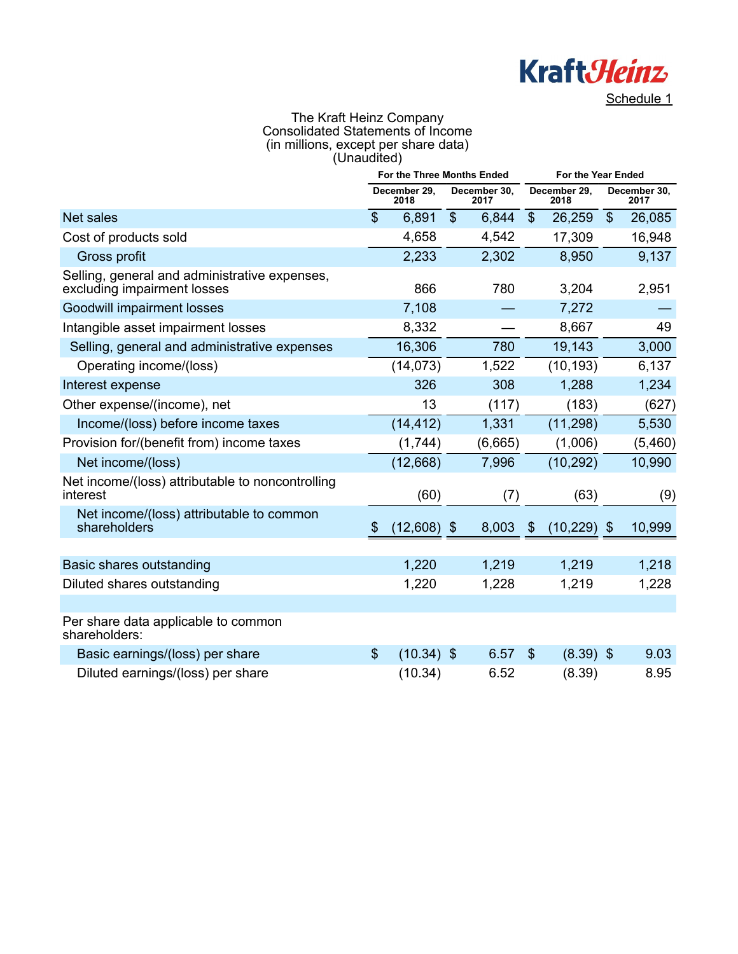

The Kraft Heinz Company Consolidated Statements of Income (in millions, except per share data) (Unaudited)

|                                                                              | For the Three Months Ended |                      |       |                      | For the Year Ended         |                      |                           |                      |
|------------------------------------------------------------------------------|----------------------------|----------------------|-------|----------------------|----------------------------|----------------------|---------------------------|----------------------|
|                                                                              |                            | December 29,<br>2018 |       | December 30,<br>2017 |                            | December 29,<br>2018 |                           | December 30,<br>2017 |
| Net sales                                                                    | $\mathfrak{S}$             | 6,891                | $\$\$ | 6,844                | $\boldsymbol{\mathsf{S}}$  | 26,259               | $\boldsymbol{\mathsf{S}}$ | 26,085               |
| Cost of products sold                                                        |                            | 4,658                |       | 4,542                |                            | 17,309               |                           | 16,948               |
| Gross profit                                                                 |                            | 2,233                |       | 2,302                |                            | 8,950                |                           | 9,137                |
| Selling, general and administrative expenses,<br>excluding impairment losses |                            | 866                  |       | 780                  |                            | 3,204                |                           | 2,951                |
| Goodwill impairment losses                                                   |                            | 7,108                |       |                      |                            | 7,272                |                           |                      |
| Intangible asset impairment losses                                           |                            | 8,332                |       |                      |                            | 8,667                |                           | 49                   |
| Selling, general and administrative expenses                                 |                            | 16,306               |       | 780                  |                            | 19,143               |                           | 3,000                |
| Operating income/(loss)                                                      |                            | (14, 073)            |       | 1,522                |                            | (10, 193)            |                           | 6,137                |
| Interest expense                                                             |                            | 326                  |       | 308                  |                            | 1,288                |                           | 1,234                |
| Other expense/(income), net                                                  |                            | 13                   |       | (117)                |                            | (183)                |                           | (627)                |
| Income/(loss) before income taxes                                            |                            | (14, 412)            |       | 1,331                |                            | (11, 298)            |                           | 5,530                |
| Provision for/(benefit from) income taxes                                    |                            | (1,744)              |       | (6,665)              |                            | (1,006)              |                           | (5,460)              |
| Net income/(loss)                                                            |                            | (12,668)             |       | 7,996                |                            | (10, 292)            |                           | 10,990               |
| Net income/(loss) attributable to noncontrolling<br>interest                 |                            | (60)                 |       | (7)                  |                            | (63)                 |                           | (9)                  |
| Net income/(loss) attributable to common<br>shareholders                     | $\boldsymbol{\mathcal{S}}$ | $(12,608)$ \$        |       | 8,003                | $\boldsymbol{\mathcal{S}}$ | $(10, 229)$ \$       |                           | 10,999               |
|                                                                              |                            |                      |       |                      |                            |                      |                           |                      |
| Basic shares outstanding                                                     |                            | 1,220                |       | 1,219                |                            | 1,219                |                           | 1,218                |
| Diluted shares outstanding                                                   |                            | 1,220                |       | 1,228                |                            | 1,219                |                           | 1,228                |
|                                                                              |                            |                      |       |                      |                            |                      |                           |                      |
| Per share data applicable to common<br>shareholders:                         |                            |                      |       |                      |                            |                      |                           |                      |
| Basic earnings/(loss) per share                                              | $\mathcal{S}$              | $(10.34)$ \$         |       | 6.57                 | $\mathcal{L}$              | $(8.39)$ \$          |                           | 9.03                 |
| Diluted earnings/(loss) per share                                            |                            | (10.34)              |       | 6.52                 |                            | (8.39)               |                           | 8.95                 |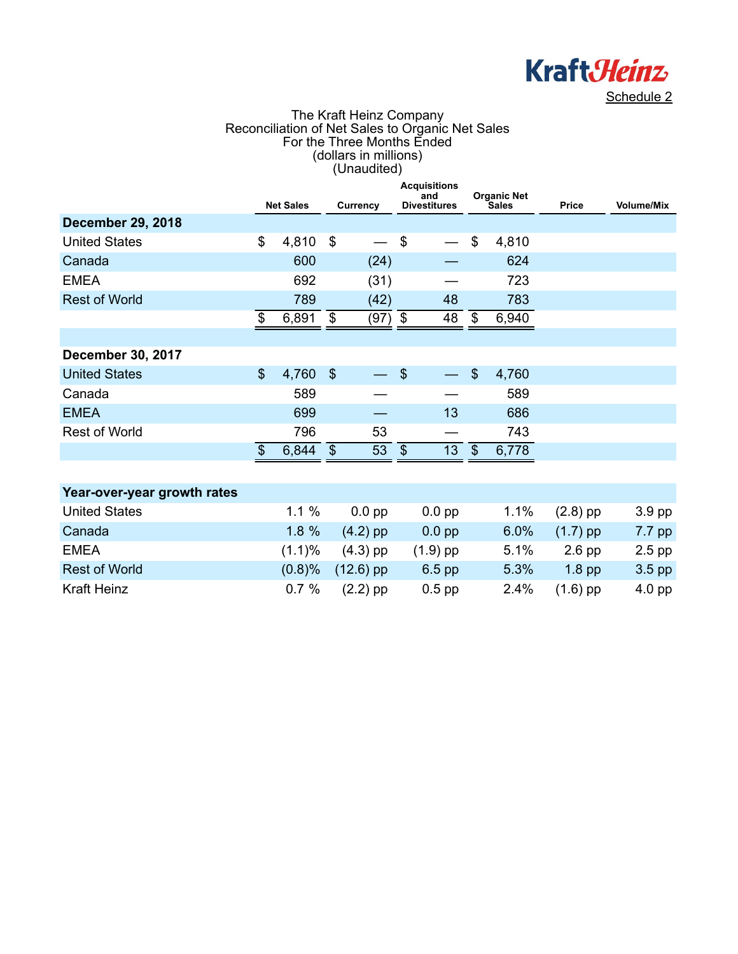

#### The Kraft Heinz Company Reconciliation of Net Sales to Organic Net Sales For the Three Months Ended (dollars in millions) (Unaudited)

|                             |                       |                  |                           |                 |                | <b>Acquisitions</b><br>and |                         | <b>Organic Net</b> |              |                   |
|-----------------------------|-----------------------|------------------|---------------------------|-----------------|----------------|----------------------------|-------------------------|--------------------|--------------|-------------------|
|                             |                       | <b>Net Sales</b> |                           | <b>Currency</b> |                | <b>Divestitures</b>        |                         | Sales              | <b>Price</b> | <b>Volume/Mix</b> |
| <b>December 29, 2018</b>    |                       |                  |                           |                 |                |                            |                         |                    |              |                   |
| <b>United States</b>        | \$                    | 4,810            | \$                        |                 | \$             |                            | \$                      | 4,810              |              |                   |
| Canada                      |                       | 600              |                           | (24)            |                |                            |                         | 624                |              |                   |
| <b>EMEA</b>                 |                       | 692              |                           | (31)            |                |                            |                         | 723                |              |                   |
| <b>Rest of World</b>        |                       | 789              |                           | (42)            |                | 48                         |                         | 783                |              |                   |
|                             | \$                    | 6,891            | \$                        | (97) \$         |                | 48                         | - \$                    | 6,940              |              |                   |
|                             |                       |                  |                           |                 |                |                            |                         |                    |              |                   |
| <b>December 30, 2017</b>    |                       |                  |                           |                 |                |                            |                         |                    |              |                   |
| <b>United States</b>        | $\mathcal{S}$         | 4,760            | $\boldsymbol{\mathsf{S}}$ |                 | $\mathcal{S}$  |                            | $\sqrt[6]{\frac{1}{2}}$ | 4,760              |              |                   |
| Canada                      |                       | 589              |                           |                 |                |                            |                         | 589                |              |                   |
| <b>EMEA</b>                 |                       | 699              |                           |                 |                | 13                         |                         | 686                |              |                   |
| <b>Rest of World</b>        |                       | 796              |                           | 53              |                |                            |                         | 743                |              |                   |
|                             | $\boldsymbol{\theta}$ | 6,844            | $\$\$                     | 53              | $\mathfrak{F}$ | 13                         | $\sqrt[6]{3}$           | 6,778              |              |                   |
|                             |                       |                  |                           |                 |                |                            |                         |                    |              |                   |
| Year-over-year growth rates |                       |                  |                           |                 |                |                            |                         |                    |              |                   |
| <b>United States</b>        |                       | 1.1%             |                           | $0.0$ pp        |                | $0.0$ pp                   |                         | 1.1%               | $(2.8)$ pp   | 3.9 pp            |
| Canada                      |                       | 1.8%             |                           | $(4.2)$ pp      |                | $0.0$ pp                   |                         | 6.0%               | $(1.7)$ pp   | 7.7 pp            |
| <b>EMEA</b>                 |                       | $(1.1)\%$        |                           | $(4.3)$ pp      |                | $(1.9)$ pp                 |                         | 5.1%               | $2.6$ pp     | $2.5$ pp          |
| <b>Rest of World</b>        |                       | (0.8)%           |                           | $(12.6)$ pp     |                | $6.5$ pp                   |                         | 5.3%               | $1.8$ pp     | $3.5$ pp          |

Kraft Heinz **6.7 %** (2.2) pp 0.5 pp 2.4% (1.6) pp 4.0 pp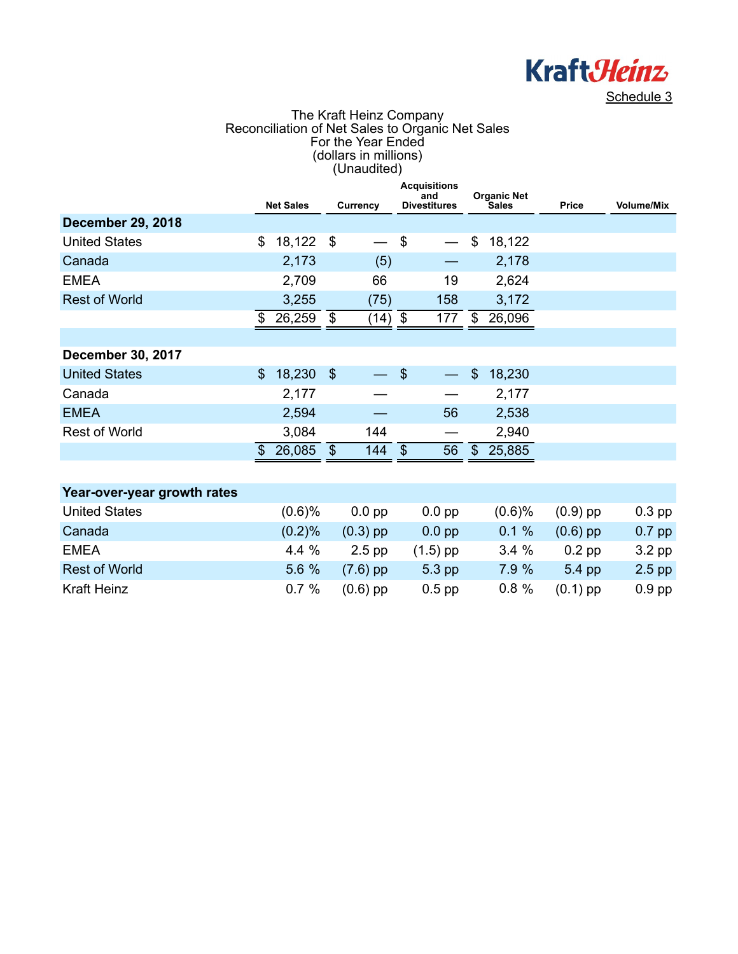

#### The Kraft Heinz Company Reconciliation of Net Sales to Organic Net Sales For the Year Ended (dollars in millions) (Unaudited)

|                             |                           | <b>Net Sales</b> |                           | Currency   |               | <b>Acquisitions</b><br>and<br><b>Divestitures</b> |               | <b>Organic Net</b><br>Sales | Price      | <b>Volume/Mix</b> |
|-----------------------------|---------------------------|------------------|---------------------------|------------|---------------|---------------------------------------------------|---------------|-----------------------------|------------|-------------------|
| <b>December 29, 2018</b>    |                           |                  |                           |            |               |                                                   |               |                             |            |                   |
| <b>United States</b>        | \$                        | 18,122           | \$                        |            | \$            |                                                   | \$            | 18,122                      |            |                   |
| Canada                      |                           | 2,173            |                           | (5)        |               |                                                   |               | 2,178                       |            |                   |
| <b>EMEA</b>                 |                           | 2,709            |                           | 66         |               | 19                                                |               | 2,624                       |            |                   |
| <b>Rest of World</b>        |                           | 3,255            |                           | (75)       |               | 158                                               |               | 3,172                       |            |                   |
|                             | \$                        | 26,259           | \$                        | (14)       | \$            | 177                                               | \$            | 26,096                      |            |                   |
|                             |                           |                  |                           |            |               |                                                   |               |                             |            |                   |
| <b>December 30, 2017</b>    |                           |                  |                           |            |               |                                                   |               |                             |            |                   |
| <b>United States</b>        | $\boldsymbol{\mathsf{S}}$ | 18,230           | $\boldsymbol{\mathsf{S}}$ |            | $\mathcal{S}$ |                                                   | $\$\$         | 18,230                      |            |                   |
| Canada                      |                           | 2,177            |                           |            |               |                                                   |               | 2,177                       |            |                   |
| <b>EMEA</b>                 |                           | 2,594            |                           |            |               | 56                                                |               | 2,538                       |            |                   |
| <b>Rest of World</b>        |                           | 3,084            |                           | 144        |               |                                                   |               | 2,940                       |            |                   |
|                             | $\frac{1}{2}$             | 26,085           | $\boldsymbol{\mathsf{S}}$ | 144        | $\frac{1}{2}$ | 56                                                | $\mathcal{S}$ | 25,885                      |            |                   |
|                             |                           |                  |                           |            |               |                                                   |               |                             |            |                   |
| Year-over-year growth rates |                           |                  |                           |            |               |                                                   |               |                             |            |                   |
| <b>United States</b>        |                           | (0.6)%           |                           | $0.0$ pp   |               | $0.0$ pp                                          |               | (0.6)%                      | $(0.9)$ pp | $0.3$ pp          |
| Canada                      |                           | (0.2)%           |                           | $(0.3)$ pp |               | $0.0$ pp                                          |               | 0.1%                        | $(0.6)$ pp | $0.7$ pp          |
| <b>EMEA</b>                 |                           | 4.4%             |                           | $2.5$ pp   |               | $(1.5)$ pp                                        |               | 3.4%                        | $0.2$ pp   | 3.2 pp            |
| <b>Rest of World</b>        |                           | 5.6 %            |                           | $(7.6)$ pp |               | 5.3 pp                                            |               | 7.9 %                       | 5.4 pp     | $2.5$ pp          |

Kraft Heinz 6.7 % (0.6) pp 0.5 pp 0.8 % (0.1) pp 0.9 pp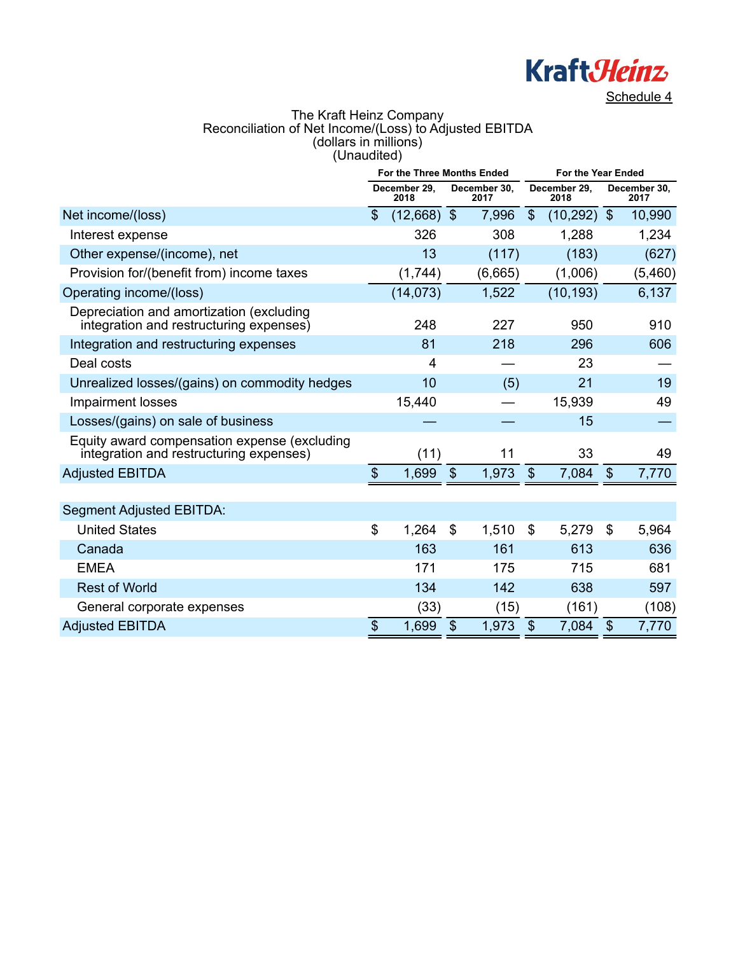

### The Kraft Heinz Company Reconciliation of Net Income/(Loss) to Adjusted EBITDA (dollars in millions) (Unaudited)

|                                                                                         | For the Three Months Ended                |                      |                           |                      | For the Year Ended        |                      |                           |                      |  |
|-----------------------------------------------------------------------------------------|-------------------------------------------|----------------------|---------------------------|----------------------|---------------------------|----------------------|---------------------------|----------------------|--|
|                                                                                         |                                           | December 29,<br>2018 |                           | December 30,<br>2017 |                           | December 29,<br>2018 |                           | December 30,<br>2017 |  |
| Net income/(loss)                                                                       | $\mathbb{S}$                              | $(12,668)$ \$        |                           | 7,996                | $\mathfrak{S}$            | (10, 292)            | <b>\$</b>                 | 10,990               |  |
| Interest expense                                                                        |                                           | 326                  |                           | 308                  |                           | 1,288                |                           | 1,234                |  |
| Other expense/(income), net                                                             |                                           | 13                   |                           | (117)                |                           | (183)                |                           | (627)                |  |
| Provision for/(benefit from) income taxes                                               |                                           | (1,744)              |                           | (6,665)              |                           | (1,006)              |                           | (5,460)              |  |
| Operating income/(loss)                                                                 |                                           | (14, 073)            |                           | 1,522                |                           | (10, 193)            |                           | 6,137                |  |
| Depreciation and amortization (excluding<br>integration and restructuring expenses)     |                                           | 248                  |                           | 227                  |                           | 950                  |                           | 910                  |  |
| Integration and restructuring expenses                                                  |                                           | 81                   |                           | 218                  |                           | 296                  |                           | 606                  |  |
| Deal costs                                                                              |                                           | 4                    |                           |                      |                           | 23                   |                           |                      |  |
| Unrealized losses/(gains) on commodity hedges                                           |                                           | 10                   |                           | (5)                  |                           | 21                   |                           | 19                   |  |
| <b>Impairment losses</b>                                                                |                                           | 15,440               |                           |                      |                           | 15,939               |                           | 49                   |  |
| Losses/(gains) on sale of business                                                      |                                           |                      |                           |                      |                           | 15                   |                           |                      |  |
| Equity award compensation expense (excluding<br>integration and restructuring expenses) |                                           | (11)                 |                           | 11                   |                           | 33                   |                           | 49                   |  |
| <b>Adjusted EBITDA</b>                                                                  | $\, \, \raisebox{12pt}{$\scriptstyle \$}$ | 1,699                | $\boldsymbol{\mathsf{S}}$ | 1,973                | $\$\$                     | 7,084                | $\mathcal{S}$             | 7,770                |  |
|                                                                                         |                                           |                      |                           |                      |                           |                      |                           |                      |  |
| <b>Segment Adjusted EBITDA:</b>                                                         |                                           |                      |                           |                      |                           |                      |                           |                      |  |
| <b>United States</b>                                                                    | \$                                        | 1,264                | \$                        | 1,510                | \$                        | 5,279                | \$                        | 5,964                |  |
| Canada                                                                                  |                                           | 163                  |                           | 161                  |                           | 613                  |                           | 636                  |  |
| <b>EMEA</b>                                                                             |                                           | 171                  |                           | 175                  |                           | 715                  |                           | 681                  |  |
| <b>Rest of World</b>                                                                    |                                           | 134                  |                           | 142                  |                           | 638                  |                           | 597                  |  |
| General corporate expenses                                                              |                                           | (33)                 |                           | (15)                 |                           | (161)                |                           | (108)                |  |
| <b>Adjusted EBITDA</b>                                                                  | \$                                        | 1,699                | $\mathcal{S}$             | 1,973                | $\boldsymbol{\mathsf{S}}$ | 7,084                | $\boldsymbol{\mathsf{S}}$ | 7,770                |  |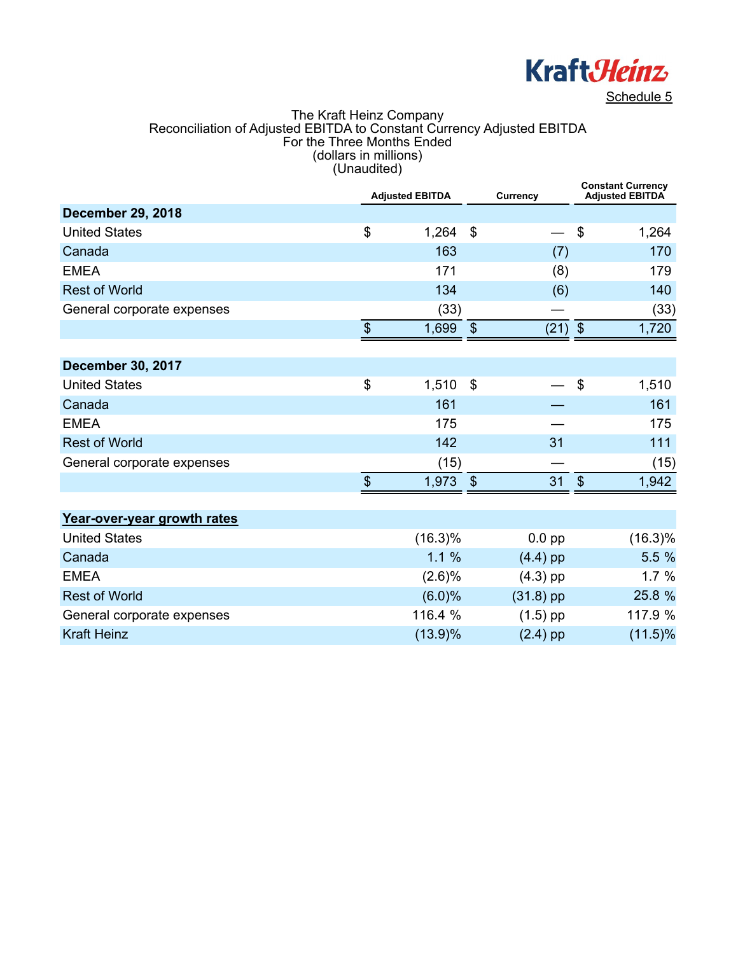

#### The Kraft Heinz Company Reconciliation of Adjusted EBITDA to Constant Currency Adjusted EBITDA For the Three Months Ended (dollars in millions) (Unaudited)

|                             |                           | <b>Adjusted EBITDA</b> |                            | Currency    |              | <b>Constant Currency</b><br><b>Adjusted EBITDA</b> |  |  |
|-----------------------------|---------------------------|------------------------|----------------------------|-------------|--------------|----------------------------------------------------|--|--|
| <b>December 29, 2018</b>    |                           |                        |                            |             |              |                                                    |  |  |
| <b>United States</b>        | \$                        | 1,264                  | $\mathfrak{S}$             |             | \$           | 1,264                                              |  |  |
| Canada                      |                           | 163                    |                            | (7)         |              | 170                                                |  |  |
| <b>EMEA</b>                 |                           | 171                    |                            | (8)         |              | 179                                                |  |  |
| <b>Rest of World</b>        |                           | 134                    |                            | (6)         |              | 140                                                |  |  |
| General corporate expenses  |                           | (33)                   |                            |             |              | (33)                                               |  |  |
|                             | $\boldsymbol{\mathsf{S}}$ | 1,699                  | $\boldsymbol{\mathsf{\$}}$ | $(21)$ \$   |              | 1,720                                              |  |  |
|                             |                           |                        |                            |             |              |                                                    |  |  |
| <b>December 30, 2017</b>    |                           |                        |                            |             |              |                                                    |  |  |
| <b>United States</b>        | \$                        | 1,510                  | \$                         |             | \$           | 1,510                                              |  |  |
| Canada                      |                           | 161                    |                            |             |              | 161                                                |  |  |
| <b>EMEA</b>                 |                           | 175                    |                            |             |              | 175                                                |  |  |
| <b>Rest of World</b>        |                           | 142                    |                            | 31          |              | 111                                                |  |  |
| General corporate expenses  |                           | (15)                   |                            |             |              | (15)                                               |  |  |
|                             | $\mathfrak{S}$            | 1,973                  | $\boldsymbol{\mathsf{S}}$  | 31          | $\mathbb{S}$ | 1,942                                              |  |  |
|                             |                           |                        |                            |             |              |                                                    |  |  |
| Year-over-year growth rates |                           |                        |                            |             |              |                                                    |  |  |
| <b>United States</b>        |                           | $(16.3)\%$             |                            | $0.0$ pp    |              | $(16.3)\%$                                         |  |  |
| Canada                      |                           | 1.1%                   |                            | $(4.4)$ pp  |              | 5.5 %                                              |  |  |
| <b>EMEA</b>                 |                           | (2.6)%                 |                            | $(4.3)$ pp  |              | 1.7%                                               |  |  |
| <b>Rest of World</b>        |                           | (6.0)%                 |                            | $(31.8)$ pp |              | 25.8 %                                             |  |  |
| General corporate expenses  |                           | 116.4 %                |                            | $(1.5)$ pp  |              | 117.9 %                                            |  |  |
| <b>Kraft Heinz</b>          |                           | $(13.9)\%$             |                            | $(2.4)$ pp  |              | $(11.5)\%$                                         |  |  |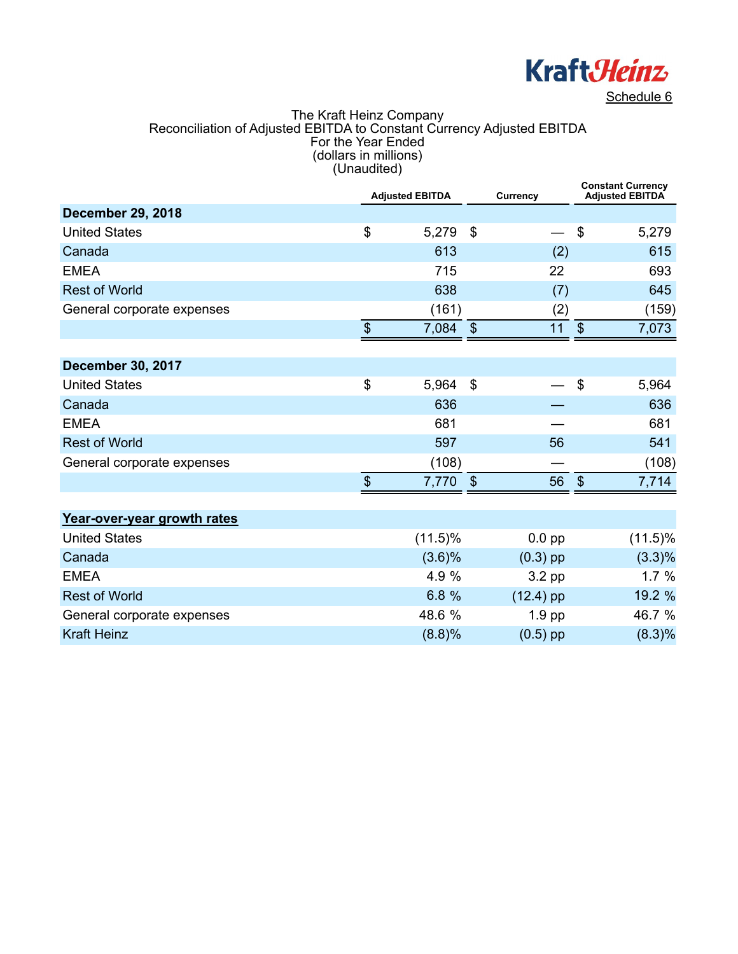

#### The Kraft Heinz Company Reconciliation of Adjusted EBITDA to Constant Currency Adjusted EBITDA For the Year Ended (dollars in millions) (Unaudited)

|                             |                                           | <b>Adjusted EBITDA</b> |                | Currency    |                           | <b>Constant Currency</b><br><b>Adjusted EBITDA</b> |
|-----------------------------|-------------------------------------------|------------------------|----------------|-------------|---------------------------|----------------------------------------------------|
| <b>December 29, 2018</b>    |                                           |                        |                |             |                           |                                                    |
| <b>United States</b>        | \$                                        | 5,279                  | \$             |             | $\$\$                     | 5,279                                              |
| Canada                      |                                           | 613                    |                | (2)         |                           | 615                                                |
| <b>EMEA</b>                 |                                           | 715                    |                | 22          |                           | 693                                                |
| <b>Rest of World</b>        |                                           | 638                    |                | (7)         |                           | 645                                                |
| General corporate expenses  |                                           | (161)                  |                | (2)         |                           | (159)                                              |
|                             | $\, \, \raisebox{12pt}{$\scriptstyle \$}$ | 7,084                  | $\sqrt{3}$     | 11          | $\boldsymbol{\mathsf{S}}$ | 7,073                                              |
|                             |                                           |                        |                |             |                           |                                                    |
| <b>December 30, 2017</b>    |                                           |                        |                |             |                           |                                                    |
| <b>United States</b>        | \$                                        | 5,964                  | $\mathfrak{F}$ |             | \$                        | 5,964                                              |
| Canada                      |                                           | 636                    |                |             |                           | 636                                                |
| <b>EMEA</b>                 |                                           | 681                    |                |             |                           | 681                                                |
| <b>Rest of World</b>        |                                           | 597                    |                | 56          |                           | 541                                                |
| General corporate expenses  |                                           | (108)                  |                |             |                           | (108)                                              |
|                             | $\mathfrak{S}$                            | 7,770                  | $\frac{3}{2}$  | 56          | $\mathcal{S}$             | 7,714                                              |
|                             |                                           |                        |                |             |                           |                                                    |
| Year-over-year growth rates |                                           |                        |                |             |                           |                                                    |
| <b>United States</b>        |                                           | $(11.5)\%$             |                | $0.0$ pp    |                           | $(11.5)\%$                                         |
| Canada                      |                                           | (3.6)%                 |                | $(0.3)$ pp  |                           | $(3.3)\%$                                          |
| <b>EMEA</b>                 |                                           | 4.9 %                  |                | 3.2 pp      |                           | 1.7%                                               |
| <b>Rest of World</b>        |                                           | 6.8%                   |                | $(12.4)$ pp |                           | 19.2 %                                             |
| General corporate expenses  |                                           | 48.6 %                 |                | $1.9$ pp    |                           | 46.7 %                                             |
| <b>Kraft Heinz</b>          |                                           | (8.8)%                 |                | $(0.5)$ pp  |                           | (8.3)%                                             |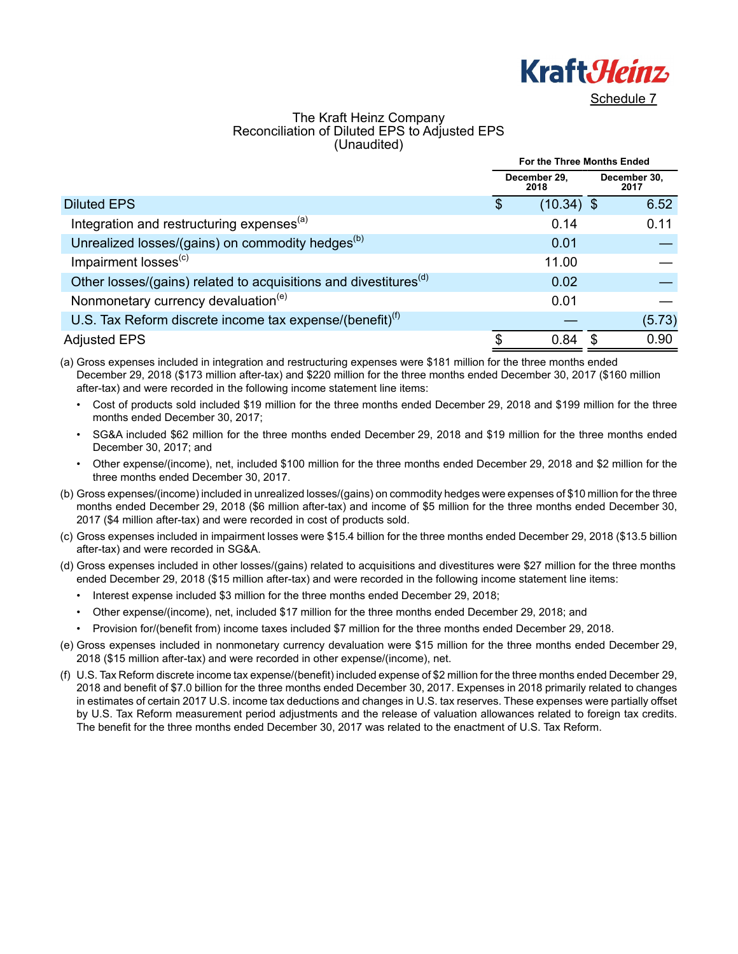

### The Kraft Heinz Company Reconciliation of Diluted EPS to Adjusted EPS (Unaudited)

|                                                                              | For the Three Months Ended |                      |   |                      |  |
|------------------------------------------------------------------------------|----------------------------|----------------------|---|----------------------|--|
|                                                                              |                            | December 29.<br>2018 |   | December 30,<br>2017 |  |
| <b>Diluted EPS</b>                                                           | S                          | $(10.34)$ \$         |   | 6.52                 |  |
| Integration and restructuring expenses <sup>(a)</sup>                        |                            | 0.14                 |   | 0.11                 |  |
| Unrealized losses/(gains) on commodity hedges <sup>(b)</sup>                 |                            | 0.01                 |   |                      |  |
| Impairment losses <sup>(c)</sup>                                             |                            | 11.00                |   |                      |  |
| Other losses/(gains) related to acquisitions and divestitures <sup>(d)</sup> |                            | 0.02                 |   |                      |  |
| Nonmonetary currency devaluation <sup>(e)</sup>                              |                            | 0.01                 |   |                      |  |
| U.S. Tax Reform discrete income tax expense/(benefit) $^{(1)}$               |                            |                      |   | (5.73)               |  |
| <b>Adjusted EPS</b>                                                          | \$                         | 0.84                 | S | 0.90                 |  |

(a) Gross expenses included in integration and restructuring expenses were \$181 million for the three months ended December 29, 2018 (\$173 million after-tax) and \$220 million for the three months ended December 30, 2017 (\$160 million after-tax) and were recorded in the following income statement line items:

• Cost of products sold included \$19 million for the three months ended December 29, 2018 and \$199 million for the three months ended December 30, 2017;

• SG&A included \$62 million for the three months ended December 29, 2018 and \$19 million for the three months ended December 30, 2017; and

• Other expense/(income), net, included \$100 million for the three months ended December 29, 2018 and \$2 million for the three months ended December 30, 2017.

- (b) Gross expenses/(income) included in unrealized losses/(gains) on commodity hedges were expenses of \$10 million for the three months ended December 29, 2018 (\$6 million after-tax) and income of \$5 million for the three months ended December 30, 2017 (\$4 million after-tax) and were recorded in cost of products sold.
- (c) Gross expenses included in impairment losses were \$15.4 billion for the three months ended December 29, 2018 (\$13.5 billion after-tax) and were recorded in SG&A.
- (d) Gross expenses included in other losses/(gains) related to acquisitions and divestitures were \$27 million for the three months ended December 29, 2018 (\$15 million after-tax) and were recorded in the following income statement line items:
	- Interest expense included \$3 million for the three months ended December 29, 2018;
	- Other expense/(income), net, included \$17 million for the three months ended December 29, 2018; and
	- Provision for/(benefit from) income taxes included \$7 million for the three months ended December 29, 2018.
- (e) Gross expenses included in nonmonetary currency devaluation were \$15 million for the three months ended December 29, 2018 (\$15 million after-tax) and were recorded in other expense/(income), net.
- (f) U.S. Tax Reform discrete income tax expense/(benefit) included expense of \$2 million for the three months ended December 29, 2018 and benefit of \$7.0 billion for the three months ended December 30, 2017. Expenses in 2018 primarily related to changes in estimates of certain 2017 U.S. income tax deductions and changes in U.S. tax reserves. These expenses were partially offset by U.S. Tax Reform measurement period adjustments and the release of valuation allowances related to foreign tax credits. The benefit for the three months ended December 30, 2017 was related to the enactment of U.S. Tax Reform.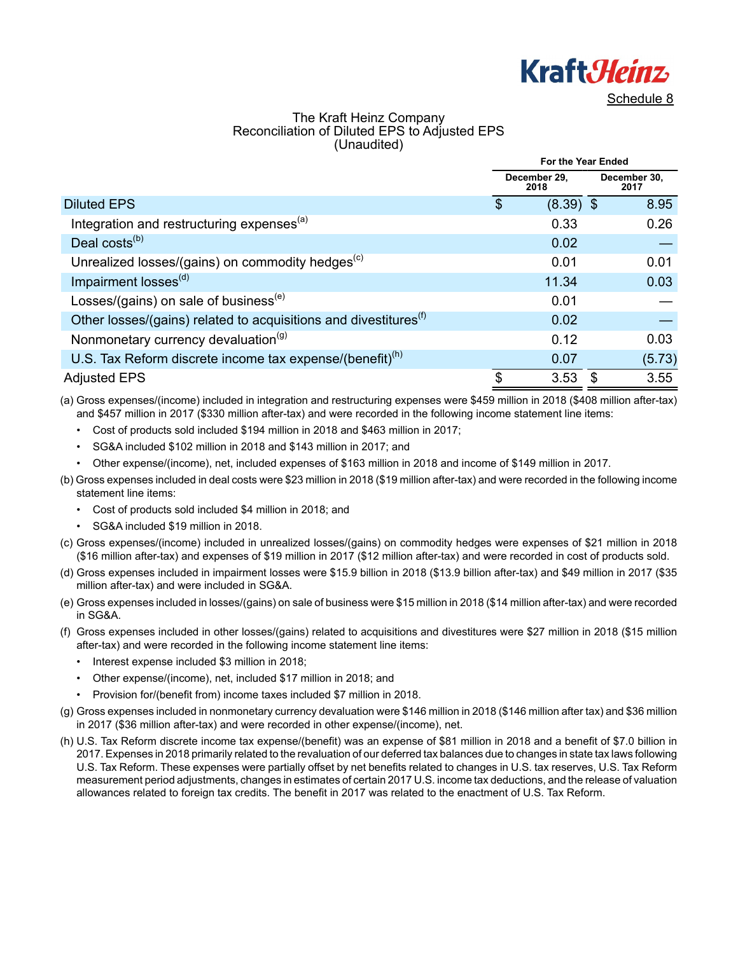

### The Kraft Heinz Company Reconciliation of Diluted EPS to Adjusted EPS (Unaudited)

|                                                                              | For the Year Ended |                      |    |                      |
|------------------------------------------------------------------------------|--------------------|----------------------|----|----------------------|
|                                                                              |                    | December 29,<br>2018 |    | December 30,<br>2017 |
| <b>Diluted EPS</b>                                                           | \$                 | $(8.39)$ \$          |    | 8.95                 |
| Integration and restructuring expenses <sup>(a)</sup>                        |                    | 0.33                 |    | 0.26                 |
| Deal costs $(b)$                                                             |                    | 0.02                 |    |                      |
| Unrealized losses/(gains) on commodity hedges <sup>(c)</sup>                 |                    | 0.01                 |    | 0.01                 |
| Impairment losses <sup>(d)</sup>                                             |                    | 11.34                |    | 0.03                 |
| Losses/(gains) on sale of business <sup>(e)</sup>                            |                    | 0.01                 |    |                      |
| Other losses/(gains) related to acquisitions and divestitures <sup>(f)</sup> |                    | 0.02                 |    |                      |
| Nonmonetary currency devaluation <sup>(g)</sup>                              |                    | 0.12                 |    | 0.03                 |
| U.S. Tax Reform discrete income tax expense/(benefit) $^{(h)}$               |                    | 0.07                 |    | (5.73)               |
| <b>Adjusted EPS</b>                                                          | \$                 | 3.53                 | \$ | 3.55                 |

(a) Gross expenses/(income) included in integration and restructuring expenses were \$459 million in 2018 (\$408 million after-tax) and \$457 million in 2017 (\$330 million after-tax) and were recorded in the following income statement line items:

- Cost of products sold included \$194 million in 2018 and \$463 million in 2017;
- SG&A included \$102 million in 2018 and \$143 million in 2017; and
- Other expense/(income), net, included expenses of \$163 million in 2018 and income of \$149 million in 2017.
- (b) Gross expenses included in deal costs were \$23 million in 2018 (\$19 million after-tax) and were recorded in the following income statement line items:
	- Cost of products sold included \$4 million in 2018; and
	- SG&A included \$19 million in 2018.
- (c) Gross expenses/(income) included in unrealized losses/(gains) on commodity hedges were expenses of \$21 million in 2018 (\$16 million after-tax) and expenses of \$19 million in 2017 (\$12 million after-tax) and were recorded in cost of products sold.
- (d) Gross expenses included in impairment losses were \$15.9 billion in 2018 (\$13.9 billion after-tax) and \$49 million in 2017 (\$35 million after-tax) and were included in SG&A.
- (e) Gross expenses included in losses/(gains) on sale of business were \$15 million in 2018 (\$14 million after-tax) and were recorded in SG&A.
- (f) Gross expenses included in other losses/(gains) related to acquisitions and divestitures were \$27 million in 2018 (\$15 million after-tax) and were recorded in the following income statement line items:
	- Interest expense included \$3 million in 2018;
	- Other expense/(income), net, included \$17 million in 2018; and
	- Provision for/(benefit from) income taxes included \$7 million in 2018.
- (g) Gross expenses included in nonmonetary currency devaluation were \$146 million in 2018 (\$146 million after tax) and \$36 million in 2017 (\$36 million after-tax) and were recorded in other expense/(income), net.
- (h) U.S. Tax Reform discrete income tax expense/(benefit) was an expense of \$81 million in 2018 and a benefit of \$7.0 billion in 2017. Expenses in 2018 primarily related to the revaluation of our deferred tax balances due to changes in state tax laws following U.S. Tax Reform. These expenses were partially offset by net benefits related to changes in U.S. tax reserves, U.S. Tax Reform measurement period adjustments, changes in estimates of certain 2017 U.S. income tax deductions, and the release of valuation allowances related to foreign tax credits. The benefit in 2017 was related to the enactment of U.S. Tax Reform.